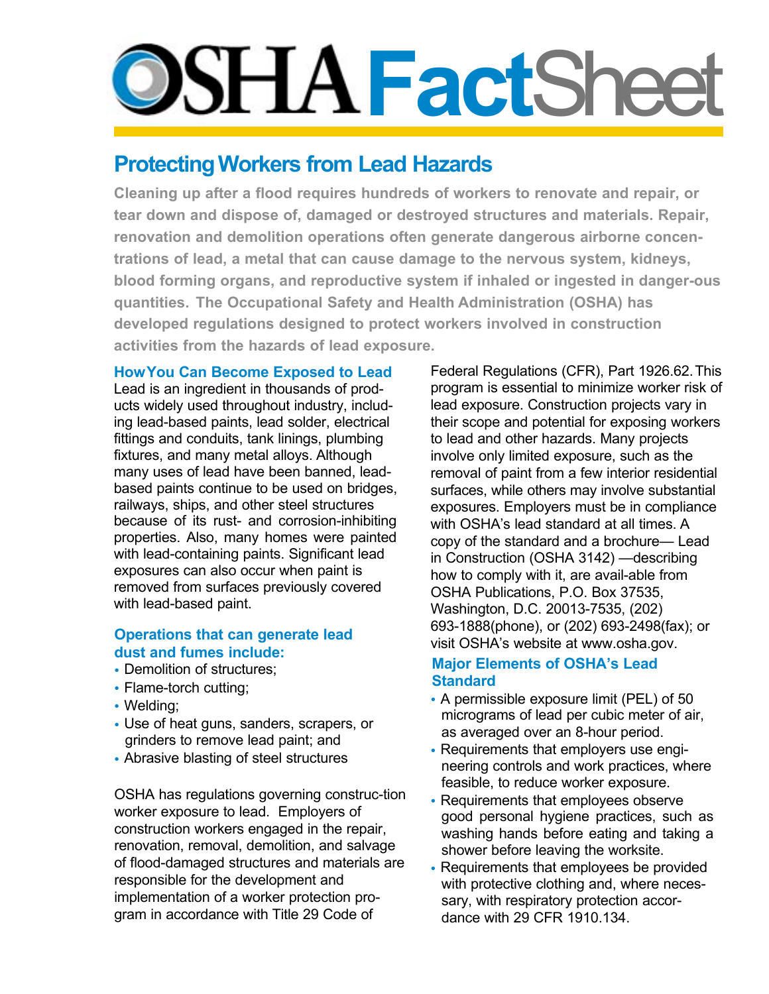# **DSHA FactShee**

## **Protecting Workers from Lead Hazards**

**Cleaning up after a flood requires hundreds of workers to renovate and repair, or tear down and dispose of, damaged or destroyed structures and materials. Repair, renovation and demolition operations often generate dangerous airborne concentrations of lead, a metal that can cause damage to the nervous system, kidneys, blood forming organs, and reproductive system if inhaled or ingested in danger-ous quantities. The Occupational Safety and Health Administration (OSHA) has developed regulations designed to protect workers involved in construction activities from the hazards of lead exposure.**

#### **How You Can Become Exposed to Lead**

Lead is an ingredient in thousands of products widely used throughout industry, including lead-based paints, lead solder, electrical fittings and conduits, tank linings, plumbing fixtures, and many metal alloys. Although many uses of lead have been banned, leadbased paints continue to be used on bridges, railways, ships, and other steel structures because of its rust- and corrosion-inhibiting properties. Also, many homes were painted with lead-containing paints. Significant lead exposures can also occur when paint is removed from surfaces previously covered with lead-based paint.

### **Operations that can generate lead dust and fumes include:**

- Demolition of structures;
- Flame-torch cutting;
- Welding;
- Use of heat guns, sanders, scrapers, or grinders to remove lead paint; and
- Abrasive blasting of steel structures

OSHA has regulations governing construc-tion worker exposure to lead. Employers of construction workers engaged in the repair, renovation, removal, demolition, and salvage of flood-damaged structures and materials are responsible for the development and implementation of a worker protection program in accordance with Title 29 Code of

Federal Regulations (CFR), Part 1926.62. This program is essential to minimize worker risk of lead exposure. Construction projects vary in their scope and potential for exposing workers to lead and other hazards. Many projects involve only limited exposure, such as the removal of paint from a few interior residential surfaces, while others may involve substantial exposures. Employers must be in compliance with OSHA's lead standard at all times. A copy of the standard and a brochure— Lead in Construction (OSHA 3142) —describing how to comply with it, are avail-able from OSHA Publications, P.O. Box 37535, Washington, D.C. 20013-7535, (202) 693-1888(phone), or (202) 693-2498(fax); or visit OSHA's website at www.osha.gov.

### **Major Elements of OSHA's Lead Standard**

- A permissible exposure limit (PEL) of 50 micrograms of lead per cubic meter of air, as averaged over an 8-hour period.
- Requirements that employers use engineering controls and work practices, where feasible, to reduce worker exposure.
- Requirements that employees observe good personal hygiene practices, such as washing hands before eating and taking a shower before leaving the worksite.
- Requirements that employees be provided with protective clothing and, where necessary, with respiratory protection accordance with 29 CFR 1910.134.